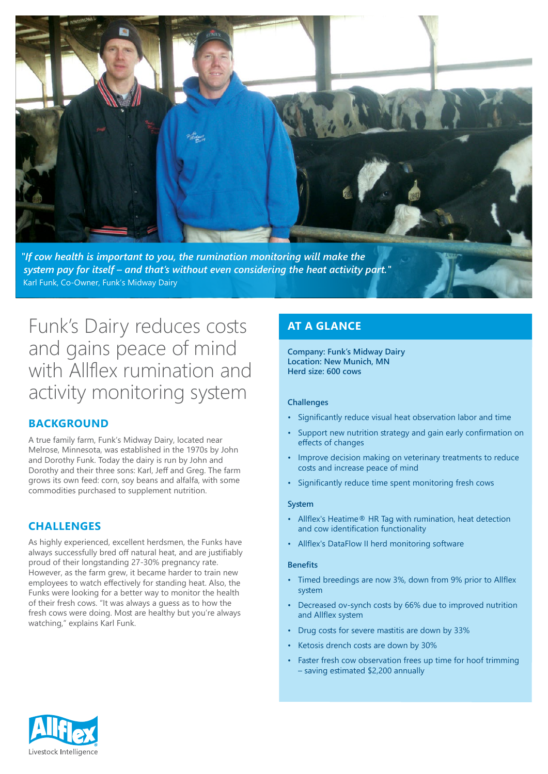

*If cow health is important to you, the rumination monitoring will make the* system pay for itself – and that's without even considering the heat activity part." Karl Funk, Co-Owner, Funk's Midway Dairy

# Funk's Dairy reduces costs and gains peace of mind with Allflex rumination and activity monitoring system

# **BACKGROUND**

A true family farm, Funk's Midway Dairy, located near Melrose, Minnesota, was established in the 1970s by John and Dorothy Funk. Today the dairy is run by John and Dorothy and their three sons: Karl, Jeff and Greg. The farm grows its own feed: corn, soy beans and alfalfa, with some commodities purchased to supplement nutrition.

# **CHALLENGES**

As highly experienced, excellent herdsmen, the Funks have always successfully bred off natural heat, and are justifiably proud of their longstanding 27-30% pregnancy rate. However, as the farm grew, it became harder to train new employees to watch effectively for standing heat. Also, the Funks were looking for a better way to monitor the health of their fresh cows. "It was always a quess as to how the fresh cows were doing. Most are healthy but you're always watching," explains Karl Funk.

# **AT A GLANCE**

**Company: Funk's Midway Dairy** Location: New Munich, MN **Herd size: 600 cows** 

#### **Challenges**

- Significantly reduce visual heat observation labor and time
- Support new nutrition strategy and gain early confirmation on effects of changes
- Improve decision making on veterinary treatments to reduce costs and increase peace of mind
- Significantly reduce time spent monitoring fresh cows

#### **System**

- Allflex's Heatime<sup>®</sup> HR Tag with rumination, heat detection and cow identification functionality
- Allflex's DataFlow II herd monitoring software

#### **Benefits**

- Timed breedings are now 3%, down from 9% prior to Allflex system
- Decreased ov-synch costs by 66% due to improved nutrition and Allflex system
- Drug costs for severe mastitis are down by 33%
- Ketosis drench costs are down by 30%
- Faster fresh cow observation frees up time for hoof trimming - saving estimated \$2,200 annually